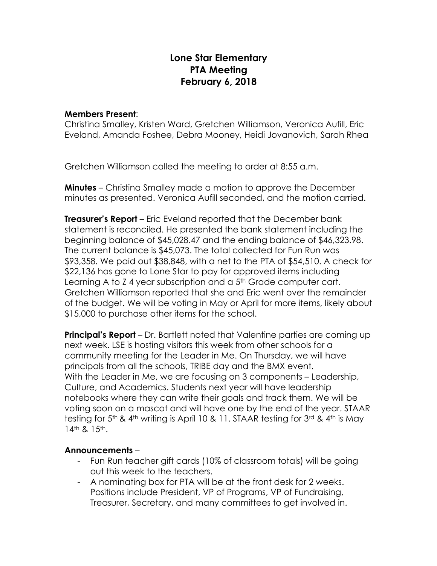## **Lone Star Elementary PTA Meeting February 6, 2018**

## **Members Present**:

Christina Smalley, Kristen Ward, Gretchen Williamson, Veronica Aufill, Eric Eveland, Amanda Foshee, Debra Mooney, Heidi Jovanovich, Sarah Rhea

Gretchen Williamson called the meeting to order at 8:55 a.m.

**Minutes** – Christina Smalley made a motion to approve the December minutes as presented. Veronica Aufill seconded, and the motion carried.

**Treasurer's Report** – Eric Eveland reported that the December bank statement is reconciled. He presented the bank statement including the beginning balance of \$45,028.47 and the ending balance of \$46,323.98. The current balance is \$45,073. The total collected for Fun Run was \$93,358. We paid out \$38,848, with a net to the PTA of \$54,510. A check for \$22,136 has gone to Lone Star to pay for approved items including Learning A to Z 4 year subscription and a 5<sup>th</sup> Grade computer cart. Gretchen Williamson reported that she and Eric went over the remainder of the budget. We will be voting in May or April for more items, likely about \$15,000 to purchase other items for the school.

**Principal's Report** – Dr. Bartlett noted that Valentine parties are coming up next week. LSE is hosting visitors this week from other schools for a community meeting for the Leader in Me. On Thursday, we will have principals from all the schools, TRIBE day and the BMX event. With the Leader in Me, we are focusing on 3 components – Leadership, Culture, and Academics. Students next year will have leadership notebooks where they can write their goals and track them. We will be voting soon on a mascot and will have one by the end of the year. STAAR testing for  $5<sup>th</sup>$  & 4<sup>th</sup> writing is April 10 & 11. STAAR testing for  $3<sup>rd</sup>$  & 4<sup>th</sup> is May 14<sup>th</sup> & 15<sup>th</sup>.

## **Announcements** –

- Fun Run teacher gift cards (10% of classroom totals) will be going out this week to the teachers.
- A nominating box for PTA will be at the front desk for 2 weeks. Positions include President, VP of Programs, VP of Fundraising, Treasurer, Secretary, and many committees to get involved in.